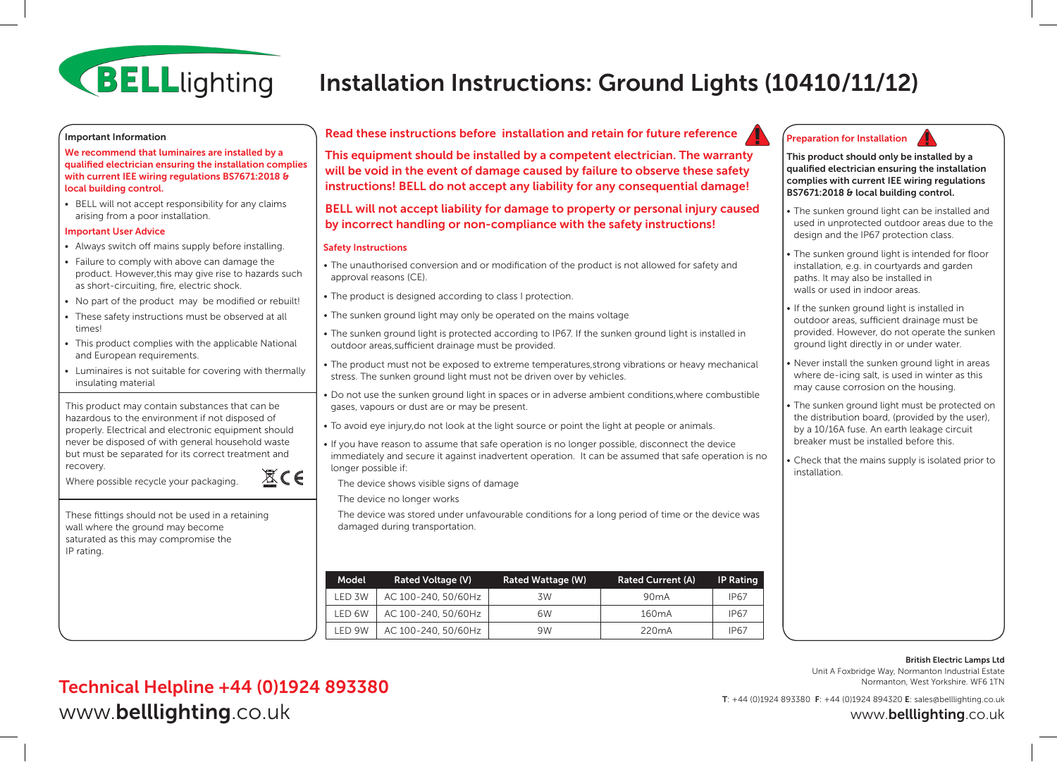

# Installation Instructions: Ground Lights (10410/11/12)

#### Important Information

We recommend that luminaires are installed by a qualified electrician ensuring the installation complies with current IEE wiring regulations BS7671:2018 & local building control.

• BELL will not accept responsibility for any claims arising from a poor installation.

#### Important User Advice

- Always switch off mains supply before installing.
- Failure to comply with above can damage the product. However,this may give rise to hazards such as short-circuiting, fire, electric shock.
- No part of the product may be modified or rebuilt!
- These safety instructions must be observed at all times!
- This product complies with the applicable National and European requirements.
- Luminaires is not suitable for covering with thermally insulating material

This product may contain substances that can be hazardous to the environment if not disposed of properly. Electrical and electronic equipment should never be disposed of with general household waste but must be separated for its correct treatment and recovery.  $\mathbb{X}$ CE

Where possible recycle your packaging.

These fittings should not be used in a retaining wall where the ground may become saturated as this may compromise the IP rating.

## Read these instructions before installation and retain for future reference

This equipment should be installed by a competent electrician. The warranty will be void in the event of damage caused by failure to observe these safety instructions! BELL do not accept any liability for any consequential damage!

## BELL will not accept liability for damage to property or personal injury caused by incorrect handling or non-compliance with the safety instructions!

#### Safety Instructions

- The unauthorised conversion and or modification of the product is not allowed for safety and approval reasons (CE).
- The product is designed according to class I protection.
- The sunken ground light may only be operated on the mains voltage
- The sunken ground light is protected according to IP67. If the sunken ground light is installed in outdoor areas,sufficient drainage must be provided.
- The product must not be exposed to extreme temperatures,strong vibrations or heavy mechanical stress. The sunken ground light must not be driven over by vehicles.
- Do not use the sunken ground light in spaces or in adverse ambient conditions,where combustible gases, vapours or dust are or may be present.
- To avoid eye injury,do not look at the light source or point the light at people or animals.
- If you have reason to assume that safe operation is no longer possible, disconnect the device immediately and secure it against inadvertent operation. It can be assumed that safe operation is no longer possible if:

The device was stored under unfavourable conditions for a long period of time or the device was

- The device shows visible signs of damage
- The device no longer works

damaged during transportation.





This product should only be installed by a qualified electrician ensuring the installation complies with current IEE wiring regulations BS7671:2018 & local building control.

- The sunken ground light can be installed and used in unprotected outdoor areas due to the design and the IP67 protection class.
- The sunken ground light is intended for floor installation, e.g. in courtyards and garden paths. It may also be installed in walls or used in indoor areas.
- If the sunken ground light is installed in outdoor areas, sufficient drainage must be provided. However, do not operate the sunken ground light directly in or under water.
- Never install the sunken ground light in areas where de-icing salt, is used in winter as this may cause corrosion on the housing.
- The sunken ground light must be protected on the distribution board, (provided by the user), by a 10/16A fuse. An earth leakage circuit breaker must be installed before this.

• Check that the mains supply is isolated prior to installation.

#### British Electric Lamps Ltd Unit A Foxbridge Way, Normanton Industrial Estate Normanton, West Yorkshire. WF6 1TN

Technical Helpline +44 (0)1924 893380 www.belllighting.co.uk

T: +44 (0)1924 893380 F: +44 (0)1924 894320 E: sales@belllighting.co.uk